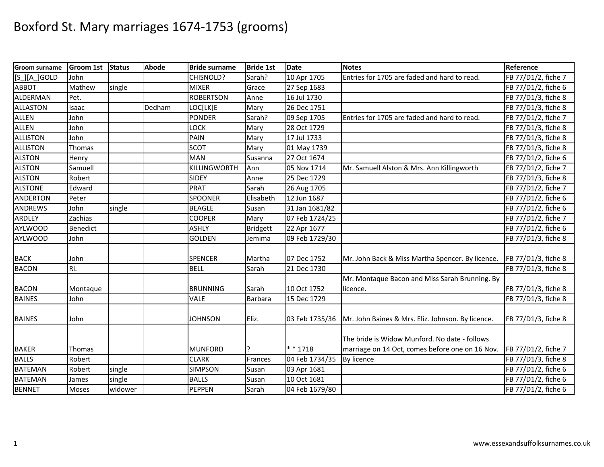| <b>Groom surname</b> | Groom 1st | <b>Status</b> | Abode  | <b>Bride surname</b> | <b>Bride 1st</b> | <b>Date</b>    | <b>Notes</b>                                                       | Reference           |
|----------------------|-----------|---------------|--------|----------------------|------------------|----------------|--------------------------------------------------------------------|---------------------|
| [S_][A_]GOLD         | John      |               |        | CHISNOLD?            | Sarah?           | 10 Apr 1705    | Entries for 1705 are faded and hard to read.                       | FB 77/D1/2, fiche 7 |
| <b>ABBOT</b>         | Mathew    | single        |        | <b>MIXER</b>         | Grace            | 27 Sep 1683    |                                                                    | FB 77/D1/2, fiche 6 |
| ALDERMAN             | Pet.      |               |        | <b>ROBERTSON</b>     | Anne             | 16 Jul 1730    |                                                                    | FB 77/D1/3, fiche 8 |
| <b>ALLASTON</b>      | Isaac     |               | Dedham | LOC[LK]E             | Mary             | 26 Dec 1751    |                                                                    | FB 77/D1/3, fiche 8 |
| <b>ALLEN</b>         | John      |               |        | <b>PONDER</b>        | Sarah?           | 09 Sep 1705    | Entries for 1705 are faded and hard to read.                       | FB 77/D1/2, fiche 7 |
| <b>ALLEN</b>         | John      |               |        | LOCK                 | Mary             | 28 Oct 1729    |                                                                    | FB 77/D1/3, fiche 8 |
| <b>ALLISTON</b>      | John      |               |        | PAIN                 | Mary             | 17 Jul 1733    |                                                                    | FB 77/D1/3, fiche 8 |
| <b>ALLISTON</b>      | Thomas    |               |        | <b>SCOT</b>          | Mary             | 01 May 1739    |                                                                    | FB 77/D1/3, fiche 8 |
| <b>ALSTON</b>        | Henry     |               |        | <b>MAN</b>           | Susanna          | 27 Oct 1674    |                                                                    | FB 77/D1/2, fiche 6 |
| <b>ALSTON</b>        | Samuell   |               |        | <b>KILLINGWORTH</b>  | Ann              | 05 Nov 1714    | Mr. Samuell Alston & Mrs. Ann Killingworth                         | FB 77/D1/2, fiche 7 |
| <b>ALSTON</b>        | Robert    |               |        | <b>SIDEY</b>         | Anne             | 25 Dec 1729    |                                                                    | FB 77/D1/3, fiche 8 |
| <b>ALSTONE</b>       | Edward    |               |        | <b>PRAT</b>          | Sarah            | 26 Aug 1705    |                                                                    | FB 77/D1/2, fiche 7 |
| <b>ANDERTON</b>      | Peter     |               |        | SPOONER              | Elisabeth        | 12 Jun 1687    |                                                                    | FB 77/D1/2, fiche 6 |
| <b>ANDREWS</b>       | John      | single        |        | <b>BEAGLE</b>        | Susan            | 31 Jan 1681/82 |                                                                    | FB 77/D1/2, fiche 6 |
| <b>ARDLEY</b>        | Zachias   |               |        | <b>COOPER</b>        | Mary             | 07 Feb 1724/25 |                                                                    | FB 77/D1/2, fiche 7 |
| <b>AYLWOOD</b>       | Benedict  |               |        | <b>ASHLY</b>         | <b>Bridgett</b>  | 22 Apr 1677    |                                                                    | FB 77/D1/2, fiche 6 |
| <b>AYLWOOD</b>       | John      |               |        | <b>GOLDEN</b>        | Jemima           | 09 Feb 1729/30 |                                                                    | FB 77/D1/3, fiche 8 |
| <b>BACK</b>          | John      |               |        | <b>SPENCER</b>       | Martha           | 07 Dec 1752    | Mr. John Back & Miss Martha Spencer. By licence.                   | FB 77/D1/3, fiche 8 |
| <b>BACON</b>         | Ri.       |               |        | <b>BELL</b>          | Sarah            | 21 Dec 1730    |                                                                    | FB 77/D1/3, fiche 8 |
|                      |           |               |        |                      |                  |                | Mr. Montaque Bacon and Miss Sarah Brunning. By                     |                     |
| <b>BACON</b>         | Montaque  |               |        | <b>BRUNNING</b>      | Sarah            | 10 Oct 1752    | licence.                                                           | FB 77/D1/3, fiche 8 |
| <b>BAINES</b>        | John      |               |        | <b>VALE</b>          | <b>Barbara</b>   | 15 Dec 1729    |                                                                    | FB 77/D1/3, fiche 8 |
| <b>BAINES</b>        | John      |               |        | <b>JOHNSON</b>       | Eliz.            |                | 03 Feb 1735/36   Mr. John Baines & Mrs. Eliz. Johnson. By licence. | FB 77/D1/3, fiche 8 |
|                      |           |               |        |                      |                  |                | The bride is Widow Munford. No date - follows                      |                     |
| <b>BAKER</b>         | Thomas    |               |        | <b>MUNFORD</b>       |                  | $* * 1718$     | marriage on 14 Oct, comes before one on 16 Nov.                    | FB 77/D1/2, fiche 7 |
| <b>BALLS</b>         | Robert    |               |        | <b>CLARK</b>         | Frances          | 04 Feb 1734/35 | By licence                                                         | FB 77/D1/3, fiche 8 |
| <b>BATEMAN</b>       | Robert    | single        |        | <b>SIMPSON</b>       | Susan            | 03 Apr 1681    |                                                                    | FB 77/D1/2, fiche 6 |
| <b>BATEMAN</b>       | James     | single        |        | <b>BALLS</b>         | Susan            | 10 Oct 1681    |                                                                    | FB 77/D1/2, fiche 6 |
| <b>BENNET</b>        | Moses     | widower       |        | <b>PEPPEN</b>        | Sarah            | 04 Feb 1679/80 |                                                                    | FB 77/D1/2, fiche 6 |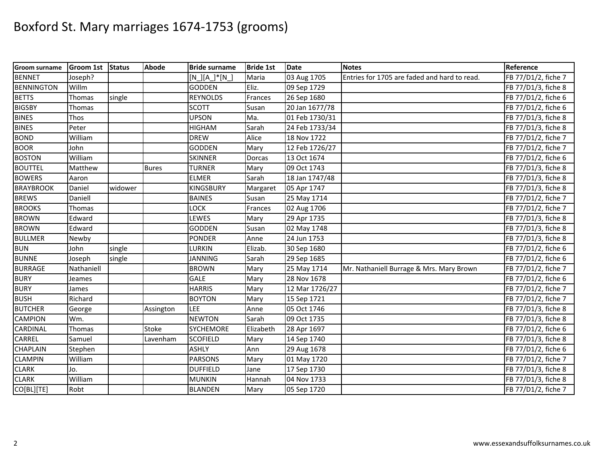| Groom surname     | <b>Groom 1st</b> | <b>Status</b> | <b>Abode</b> | <b>Bride surname</b>  | <b>Bride 1st</b> | <b>Date</b>    | <b>Notes</b>                                 | Reference           |
|-------------------|------------------|---------------|--------------|-----------------------|------------------|----------------|----------------------------------------------|---------------------|
| <b>BENNET</b>     | Joseph?          |               |              | $[N]$ $[A]$ $*$ $[N]$ | Maria            | 03 Aug 1705    | Entries for 1705 are faded and hard to read. | FB 77/D1/2, fiche 7 |
| <b>BENNINGTON</b> | Willm            |               |              | <b>GODDEN</b>         | Eliz.            | 09 Sep 1729    |                                              | FB 77/D1/3, fiche 8 |
| <b>BETTS</b>      | Thomas           | single        |              | <b>REYNOLDS</b>       | Frances          | 26 Sep 1680    |                                              | FB 77/D1/2, fiche 6 |
| <b>BIGSBY</b>     | Thomas           |               |              | <b>SCOTT</b>          | Susan            | 20 Jan 1677/78 |                                              | FB 77/D1/2, fiche 6 |
| <b>BINES</b>      | Thos             |               |              | <b>UPSON</b>          | Ma.              | 01 Feb 1730/31 |                                              | FB 77/D1/3, fiche 8 |
| <b>BINES</b>      | Peter            |               |              | <b>HIGHAM</b>         | Sarah            | 24 Feb 1733/34 |                                              | FB 77/D1/3, fiche 8 |
| <b>BOND</b>       | William          |               |              | <b>DREW</b>           | Alice            | 18 Nov 1722    |                                              | FB 77/D1/2, fiche 7 |
| <b>BOOR</b>       | John             |               |              | <b>GODDEN</b>         | Mary             | 12 Feb 1726/27 |                                              | FB 77/D1/2, fiche 7 |
| <b>BOSTON</b>     | William          |               |              | <b>SKINNER</b>        | Dorcas           | 13 Oct 1674    |                                              | FB 77/D1/2, fiche 6 |
| <b>BOUTTEL</b>    | Matthew          |               | <b>Bures</b> | <b>TURNER</b>         | Mary             | 09 Oct 1743    |                                              | FB 77/D1/3, fiche 8 |
| <b>BOWERS</b>     | Aaron            |               |              | <b>ELMER</b>          | Sarah            | 18 Jan 1747/48 |                                              | FB 77/D1/3, fiche 8 |
| <b>BRAYBROOK</b>  | Daniel           | widower       |              | <b>KINGSBURY</b>      | Margaret         | 05 Apr 1747    |                                              | FB 77/D1/3, fiche 8 |
| <b>BREWS</b>      | Daniell          |               |              | <b>BAINES</b>         | Susan            | 25 May 1714    |                                              | FB 77/D1/2, fiche 7 |
| <b>BROOKS</b>     | Thomas           |               |              | LOCK                  | Frances          | 02 Aug 1706    |                                              | FB 77/D1/2, fiche 7 |
| <b>BROWN</b>      | Edward           |               |              | LEWES                 | Mary             | 29 Apr 1735    |                                              | FB 77/D1/3, fiche 8 |
| <b>BROWN</b>      | Edward           |               |              | <b>GODDEN</b>         | Susan            | 02 May 1748    |                                              | FB 77/D1/3, fiche 8 |
| <b>BULLMER</b>    | Newby            |               |              | <b>PONDER</b>         | Anne             | 24 Jun 1753    |                                              | FB 77/D1/3, fiche 8 |
| BUN               | John             | single        |              | LURKIN                | Elizab.          | 30 Sep 1680    |                                              | FB 77/D1/2, fiche 6 |
| <b>BUNNE</b>      | Joseph           | single        |              | <b>JANNING</b>        | Sarah            | 29 Sep 1685    |                                              | FB 77/D1/2, fiche 6 |
| <b>BURRAGE</b>    | Nathaniell       |               |              | <b>BROWN</b>          | Mary             | 25 May 1714    | Mr. Nathaniell Burrage & Mrs. Mary Brown     | FB 77/D1/2, fiche 7 |
| <b>BURY</b>       | Jeames           |               |              | <b>GALE</b>           | Mary             | 28 Nov 1678    |                                              | FB 77/D1/2, fiche 6 |
| <b>BURY</b>       | James            |               |              | <b>HARRIS</b>         | Mary             | 12 Mar 1726/27 |                                              | FB 77/D1/2, fiche 7 |
| <b>BUSH</b>       | Richard          |               |              | <b>BOYTON</b>         | Mary             | 15 Sep 1721    |                                              | FB 77/D1/2, fiche 7 |
| <b>BUTCHER</b>    | George           |               | Assington    | LEE                   | Anne             | 05 Oct 1746    |                                              | FB 77/D1/3, fiche 8 |
| <b>CAMPION</b>    | Wm.              |               |              | <b>NEWTON</b>         | Sarah            | 09 Oct 1735    |                                              | FB 77/D1/3, fiche 8 |
| <b>CARDINAL</b>   | Thomas           |               | <b>Stoke</b> | <b>SYCHEMORE</b>      | Elizabeth        | 28 Apr 1697    |                                              | FB 77/D1/2, fiche 6 |
| <b>CARREL</b>     | Samuel           |               | Lavenham     | <b>SCOFIELD</b>       | Mary             | 14 Sep 1740    |                                              | FB 77/D1/3, fiche 8 |
| <b>CHAPLAIN</b>   | Stephen          |               |              | <b>ASHLY</b>          | Ann              | 29 Aug 1678    |                                              | FB 77/D1/2, fiche 6 |
| <b>CLAMPIN</b>    | William          |               |              | <b>PARSONS</b>        | Mary             | 01 May 1720    |                                              | FB 77/D1/2, fiche 7 |
| <b>CLARK</b>      | Jo.              |               |              | <b>DUFFIELD</b>       | Jane             | 17 Sep 1730    |                                              | FB 77/D1/3, fiche 8 |
| <b>CLARK</b>      | William          |               |              | <b>MUNKIN</b>         | Hannah           | 04 Nov 1733    |                                              | FB 77/D1/3, fiche 8 |
| CO[BL][TE]        | Robt             |               |              | <b>BLANDEN</b>        | Mary             | 05 Sep 1720    |                                              | FB 77/D1/2, fiche 7 |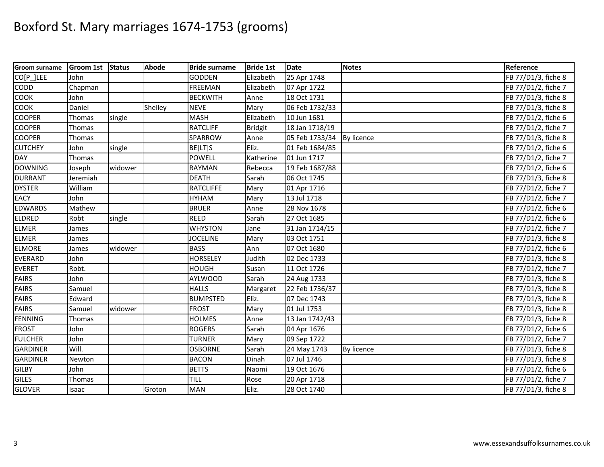| <b>Groom surname</b> | Groom 1st Status |         | <b>Abode</b> | <b>Bride surname</b> | <b>Bride 1st</b> | <b>Date</b>    | <b>Notes</b> | Reference           |
|----------------------|------------------|---------|--------------|----------------------|------------------|----------------|--------------|---------------------|
| CO[P_]LEE            | John             |         |              | <b>GODDEN</b>        | Elizabeth        | 25 Apr 1748    |              | FB 77/D1/3, fiche 8 |
| <b>CODD</b>          | Chapman          |         |              | <b>FREEMAN</b>       | Elizabeth        | 07 Apr 1722    |              | FB 77/D1/2, fiche 7 |
| <b>COOK</b>          | John             |         |              | <b>BECKWITH</b>      | Anne             | 18 Oct 1731    |              | FB 77/D1/3, fiche 8 |
| <b>COOK</b>          | Daniel           |         | Shelley      | <b>NEVE</b>          | Mary             | 06 Feb 1732/33 |              | FB 77/D1/3, fiche 8 |
| <b>COOPER</b>        | Thomas           | single  |              | <b>MASH</b>          | Elizabeth        | 10 Jun 1681    |              | FB 77/D1/2, fiche 6 |
| <b>COOPER</b>        | Thomas           |         |              | <b>RATCLIFF</b>      | <b>Bridgit</b>   | 18 Jan 1718/19 |              | FB 77/D1/2, fiche 7 |
| <b>COOPER</b>        | Thomas           |         |              | SPARROW              | Anne             | 05 Feb 1733/34 | By licence   | FB 77/D1/3, fiche 8 |
| <b>CUTCHEY</b>       | John             | single  |              | BE[LT]S              | Eliz.            | 01 Feb 1684/85 |              | FB 77/D1/2, fiche 6 |
| <b>DAY</b>           | Thomas           |         |              | <b>POWELL</b>        | Katherine        | 01 Jun 1717    |              | FB 77/D1/2, fiche 7 |
| <b>DOWNING</b>       | Joseph           | widower |              | <b>RAYMAN</b>        | Rebecca          | 19 Feb 1687/88 |              | FB 77/D1/2, fiche 6 |
| <b>DURRANT</b>       | Jeremiah         |         |              | <b>DEATH</b>         | Sarah            | 06 Oct 1745    |              | FB 77/D1/3, fiche 8 |
| <b>DYSTER</b>        | William          |         |              | <b>RATCLIFFE</b>     | Mary             | 01 Apr 1716    |              | FB 77/D1/2, fiche 7 |
| <b>EACY</b>          | John             |         |              | <b>HYHAM</b>         | Mary             | 13 Jul 1718    |              | FB 77/D1/2, fiche 7 |
| <b>EDWARDS</b>       | Mathew           |         |              | <b>BRUER</b>         | Anne             | 28 Nov 1678    |              | FB 77/D1/2, fiche 6 |
| ELDRED               | Robt             | single  |              | <b>REED</b>          | Sarah            | 27 Oct 1685    |              | FB 77/D1/2, fiche 6 |
| <b>ELMER</b>         | James            |         |              | <b>WHYSTON</b>       | Jane             | 31 Jan 1714/15 |              | FB 77/D1/2, fiche 7 |
| <b>ELMER</b>         | James            |         |              | <b>JOCELINE</b>      | Mary             | 03 Oct 1751    |              | FB 77/D1/3, fiche 8 |
| <b>ELMORE</b>        | James            | widower |              | <b>BASS</b>          | Ann              | 07 Oct 1680    |              | FB 77/D1/2, fiche 6 |
| <b>EVERARD</b>       | John             |         |              | <b>HORSELEY</b>      | Judith           | 02 Dec 1733    |              | FB 77/D1/3, fiche 8 |
| <b>EVERET</b>        | Robt.            |         |              | <b>HOUGH</b>         | Susan            | 11 Oct 1726    |              | FB 77/D1/2, fiche 7 |
| <b>FAIRS</b>         | John             |         |              | <b>AYLWOOD</b>       | Sarah            | 24 Aug 1733    |              | FB 77/D1/3, fiche 8 |
| <b>FAIRS</b>         | Samuel           |         |              | <b>HALLS</b>         | Margaret         | 22 Feb 1736/37 |              | FB 77/D1/3, fiche 8 |
| <b>FAIRS</b>         | Edward           |         |              | <b>BUMPSTED</b>      | Eliz.            | 07 Dec 1743    |              | FB 77/D1/3, fiche 8 |
| <b>FAIRS</b>         | Samuel           | widower |              | <b>FROST</b>         | Mary             | 01 Jul 1753    |              | FB 77/D1/3, fiche 8 |
| FENNING              | Thomas           |         |              | <b>HOLMES</b>        | Anne             | 13 Jan 1742/43 |              | FB 77/D1/3, fiche 8 |
| <b>FROST</b>         | John             |         |              | <b>ROGERS</b>        | Sarah            | 04 Apr 1676    |              | FB 77/D1/2, fiche 6 |
| <b>FULCHER</b>       | John             |         |              | <b>TURNER</b>        | Mary             | 09 Sep 1722    |              | FB 77/D1/2, fiche 7 |
| <b>GARDINER</b>      | Will.            |         |              | <b>OSBORNE</b>       | Sarah            | 24 May 1743    | By licence   | FB 77/D1/3, fiche 8 |
| <b>GARDINER</b>      | Newton           |         |              | <b>BACON</b>         | Dinah            | 07 Jul 1746    |              | FB 77/D1/3, fiche 8 |
| <b>GILBY</b>         | John             |         |              | <b>BETTS</b>         | Naomi            | 19 Oct 1676    |              | FB 77/D1/2, fiche 6 |
| <b>GILES</b>         | Thomas           |         |              | <b>TILL</b>          | Rose             | 20 Apr 1718    |              | FB 77/D1/2, fiche 7 |
| <b>GLOVER</b>        | Isaac            |         | Groton       | <b>MAN</b>           | Eliz.            | 28 Oct 1740    |              | FB 77/D1/3, fiche 8 |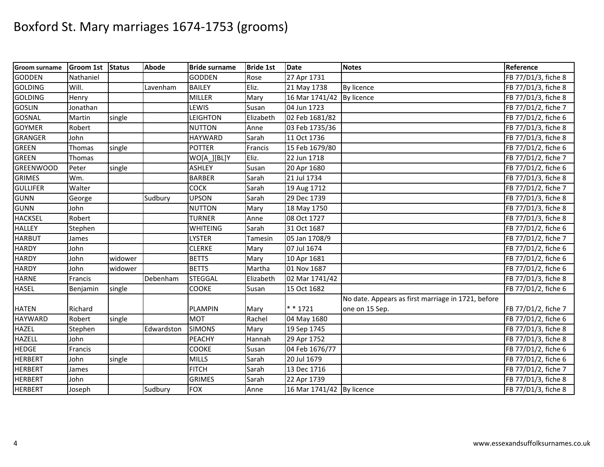| <b>Groom surname</b> | <b>Groom 1st</b> | <b>Status</b> | <b>Abode</b> | <b>Bride surname</b> | <b>Bride 1st</b> | <b>Date</b>               | <b>Notes</b>                                       | Reference           |
|----------------------|------------------|---------------|--------------|----------------------|------------------|---------------------------|----------------------------------------------------|---------------------|
| <b>GODDEN</b>        | Nathaniel        |               |              | <b>GODDEN</b>        | Rose             | 27 Apr 1731               |                                                    | FB 77/D1/3, fiche 8 |
| <b>GOLDING</b>       | Will.            |               | Lavenham     | <b>BAILEY</b>        | Eliz.            | 21 May 1738               | By licence                                         | FB 77/D1/3, fiche 8 |
| <b>GOLDING</b>       | Henry            |               |              | <b>MILLER</b>        | Mary             | 16 Mar 1741/42            | By licence                                         | FB 77/D1/3, fiche 8 |
| <b>GOSLIN</b>        | Jonathan         |               |              | LEWIS                | Susan            | 04 Jun 1723               |                                                    | FB 77/D1/2, fiche 7 |
| <b>GOSNAL</b>        | Martin           | single        |              | <b>LEIGHTON</b>      | Elizabeth        | 02 Feb 1681/82            |                                                    | FB 77/D1/2, fiche 6 |
| <b>GOYMER</b>        | Robert           |               |              | <b>NUTTON</b>        | Anne             | 03 Feb 1735/36            |                                                    | FB 77/D1/3, fiche 8 |
| <b>GRANGER</b>       | John             |               |              | <b>HAYWARD</b>       | Sarah            | 11 Oct 1736               |                                                    | FB 77/D1/3, fiche 8 |
| <b>GREEN</b>         | Thomas           | single        |              | <b>POTTER</b>        | Francis          | 15 Feb 1679/80            |                                                    | FB 77/D1/2, fiche 6 |
| <b>GREEN</b>         | Thomas           |               |              | WO[A ][BL]Y          | Eliz.            | 22 Jun 1718               |                                                    | FB 77/D1/2, fiche 7 |
| <b>GREENWOOD</b>     | Peter            | single        |              | <b>ASHLEY</b>        | Susan            | 20 Apr 1680               |                                                    | FB 77/D1/2, fiche 6 |
| <b>GRIMES</b>        | Wm.              |               |              | <b>BARBER</b>        | Sarah            | 21 Jul 1734               |                                                    | FB 77/D1/3, fiche 8 |
| <b>GULLIFER</b>      | Walter           |               |              | <b>COCK</b>          | Sarah            | 19 Aug 1712               |                                                    | FB 77/D1/2, fiche 7 |
| <b>GUNN</b>          | George           |               | Sudbury      | <b>UPSON</b>         | Sarah            | 29 Dec 1739               |                                                    | FB 77/D1/3, fiche 8 |
| GUNN                 | John             |               |              | <b>NUTTON</b>        | Mary             | 18 May 1750               |                                                    | FB 77/D1/3, fiche 8 |
| <b>HACKSEL</b>       | Robert           |               |              | <b>TURNER</b>        | Anne             | 08 Oct 1727               |                                                    | FB 77/D1/3, fiche 8 |
| <b>HALLEY</b>        | Stephen          |               |              | <b>WHITEING</b>      | Sarah            | 31 Oct 1687               |                                                    | FB 77/D1/2, fiche 6 |
| <b>HARBUT</b>        | James            |               |              | <b>LYSTER</b>        | <b>Tamesin</b>   | 05 Jan 1708/9             |                                                    | FB 77/D1/2, fiche 7 |
| <b>HARDY</b>         | John             |               |              | <b>CLERKE</b>        | Mary             | 07 Jul 1674               |                                                    | FB 77/D1/2, fiche 6 |
| <b>HARDY</b>         | John             | widower       |              | <b>BETTS</b>         | Mary             | 10 Apr 1681               |                                                    | FB 77/D1/2, fiche 6 |
| <b>HARDY</b>         | John             | widower       |              | <b>BETTS</b>         | Martha           | 01 Nov 1687               |                                                    | FB 77/D1/2, fiche 6 |
| <b>HARNE</b>         | Francis          |               | Debenham     | <b>STEGGAL</b>       | Elizabeth        | 02 Mar 1741/42            |                                                    | FB 77/D1/3, fiche 8 |
| <b>HASEL</b>         | Benjamin         | single        |              | COOKE                | Susan            | 15 Oct 1682               |                                                    | FB 77/D1/2, fiche 6 |
|                      |                  |               |              |                      |                  |                           | No date. Appears as first marriage in 1721, before |                     |
| <b>HATEN</b>         | Richard          |               |              | <b>PLAMPIN</b>       | Mary             | $* * 1721$                | one on 15 Sep.                                     | FB 77/D1/2, fiche 7 |
| <b>HAYWARD</b>       | Robert           | single        |              | <b>MOT</b>           | Rachel           | 04 May 1680               |                                                    | FB 77/D1/2, fiche 6 |
| <b>HAZEL</b>         | Stephen          |               | Edwardston   | <b>SIMONS</b>        | Mary             | 19 Sep 1745               |                                                    | FB 77/D1/3, fiche 8 |
| <b>HAZELL</b>        | John             |               |              | PEACHY               | Hannah           | 29 Apr 1752               |                                                    | FB 77/D1/3, fiche 8 |
| <b>HEDGE</b>         | Francis          |               |              | <b>COOKE</b>         | Susan            | 04 Feb 1676/77            |                                                    | FB 77/D1/2, fiche 6 |
| <b>HERBERT</b>       | John             | single        |              | <b>MILLS</b>         | Sarah            | 20 Jul 1679               |                                                    | FB 77/D1/2, fiche 6 |
| <b>HERBERT</b>       | James            |               |              | <b>FITCH</b>         | Sarah            | 13 Dec 1716               |                                                    | FB 77/D1/2, fiche 7 |
| <b>HERBERT</b>       | John             |               |              | <b>GRIMES</b>        | Sarah            | 22 Apr 1739               |                                                    | FB 77/D1/3, fiche 8 |
| <b>HERBERT</b>       | Joseph           |               | Sudbury      | <b>FOX</b>           | Anne             | 16 Mar 1741/42 By licence |                                                    | FB 77/D1/3, fiche 8 |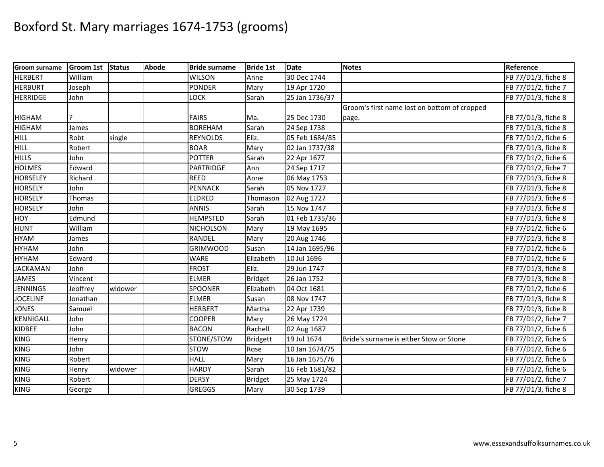| <b>Groom surname</b> | <b>Groom 1st</b> | <b>Status</b> | <b>Abode</b> | <b>Bride surname</b> | <b>Bride 1st</b> | <b>Date</b>    | <b>Notes</b>                                 | Reference           |
|----------------------|------------------|---------------|--------------|----------------------|------------------|----------------|----------------------------------------------|---------------------|
| <b>HERBERT</b>       | William          |               |              | <b>WILSON</b>        | Anne             | 30 Dec 1744    |                                              | FB 77/D1/3, fiche 8 |
| <b>HERBURT</b>       | Joseph           |               |              | PONDER               | Mary             | 19 Apr 1720    |                                              | FB 77/D1/2, fiche 7 |
| <b>HERRIDGE</b>      | John             |               |              | LOCK                 | Sarah            | 25 Jan 1736/37 |                                              | FB 77/D1/3, fiche 8 |
|                      |                  |               |              |                      |                  |                | Groom's first name lost on bottom of cropped |                     |
| <b>HIGHAM</b>        |                  |               |              | <b>FAIRS</b>         | Ma.              | 25 Dec 1730    | page.                                        | FB 77/D1/3, fiche 8 |
| <b>HIGHAM</b>        | James            |               |              | <b>BOREHAM</b>       | Sarah            | 24 Sep 1738    |                                              | FB 77/D1/3, fiche 8 |
| <b>HILL</b>          | Robt             | single        |              | <b>REYNOLDS</b>      | Eliz.            | 05 Feb 1684/85 |                                              | FB 77/D1/2, fiche 6 |
| <b>HILL</b>          | Robert           |               |              | <b>BOAR</b>          | Mary             | 02 Jan 1737/38 |                                              | FB 77/D1/3, fiche 8 |
| <b>HILLS</b>         | John             |               |              | <b>POTTER</b>        | Sarah            | 22 Apr 1677    |                                              | FB 77/D1/2, fiche 6 |
| <b>HOLMES</b>        | Edward           |               |              | <b>PARTRIDGE</b>     | Ann              | 24 Sep 1717    |                                              | FB 77/D1/2, fiche 7 |
| <b>HORSELEY</b>      | Richard          |               |              | <b>REED</b>          | Anne             | 06 May 1753    |                                              | FB 77/D1/3, fiche 8 |
| <b>HORSELY</b>       | John             |               |              | <b>PENNACK</b>       | Sarah            | 05 Nov 1727    |                                              | FB 77/D1/3, fiche 8 |
| <b>HORSELY</b>       | Thomas           |               |              | <b>ELDRED</b>        | Thomason         | 02 Aug 1727    |                                              | FB 77/D1/3, fiche 8 |
| <b>HORSELY</b>       | John             |               |              | <b>ANNIS</b>         | Sarah            | 15 Nov 1747    |                                              | FB 77/D1/3, fiche 8 |
| <b>HOY</b>           | Edmund           |               |              | <b>HEMPSTED</b>      | Sarah            | 01 Feb 1735/36 |                                              | FB 77/D1/3, fiche 8 |
| <b>HUNT</b>          | William          |               |              | <b>NICHOLSON</b>     | Mary             | 19 May 1695    |                                              | FB 77/D1/2, fiche 6 |
| <b>HYAM</b>          | James            |               |              | <b>RANDEL</b>        | Mary             | 20 Aug 1746    |                                              | FB 77/D1/3, fiche 8 |
| <b>HYHAM</b>         | John             |               |              | <b>GRIMWOOD</b>      | Susan            | 14 Jan 1695/96 |                                              | FB 77/D1/2, fiche 6 |
| <b>HYHAM</b>         | Edward           |               |              | <b>WARE</b>          | Elizabeth        | 10 Jul 1696    |                                              | FB 77/D1/2, fiche 6 |
| <b>JACKAMAN</b>      | John             |               |              | <b>FROST</b>         | Eliz.            | 29 Jun 1747    |                                              | FB 77/D1/3, fiche 8 |
| <b>JAMES</b>         | Vincent          |               |              | <b>ELMER</b>         | <b>Bridget</b>   | 26 Jan 1752    |                                              | FB 77/D1/3, fiche 8 |
| <b>JENNINGS</b>      | Jeoffrey         | widower       |              | SPOONER              | Elizabeth        | 04 Oct 1681    |                                              | FB 77/D1/2, fiche 6 |
| <b>JOCELINE</b>      | Jonathan         |               |              | <b>ELMER</b>         | Susan            | 08 Nov 1747    |                                              | FB 77/D1/3, fiche 8 |
| <b>JONES</b>         | Samuel           |               |              | <b>HERBERT</b>       | Martha           | 22 Apr 1739    |                                              | FB 77/D1/3, fiche 8 |
| KENNIGALL            | John             |               |              | <b>COOPER</b>        | Mary             | 26 May 1724    |                                              | FB 77/D1/2, fiche 7 |
| <b>KIDBEE</b>        | John             |               |              | <b>BACON</b>         | Rachell          | 02 Aug 1687    |                                              | FB 77/D1/2, fiche 6 |
| <b>KING</b>          | Henry            |               |              | STONE/STOW           | <b>Bridgett</b>  | 19 Jul 1674    | Bride's surname is either Stow or Stone      | FB 77/D1/2, fiche 6 |
| <b>KING</b>          | John             |               |              | <b>STOW</b>          | Rose             | 10 Jan 1674/75 |                                              | FB 77/D1/2, fiche 6 |
| <b>KING</b>          | Robert           |               |              | <b>HALL</b>          | Mary             | 16 Jan 1675/76 |                                              | FB 77/D1/2, fiche 6 |
| KING                 | Henry            | widower       |              | <b>HARDY</b>         | Sarah            | 16 Feb 1681/82 |                                              | FB 77/D1/2, fiche 6 |
| KING                 | Robert           |               |              | <b>DERSY</b>         | <b>Bridget</b>   | 25 May 1724    |                                              | FB 77/D1/2, fiche 7 |
| <b>KING</b>          | George           |               |              | GREGGS               | Mary             | 30 Sep 1739    |                                              | FB 77/D1/3, fiche 8 |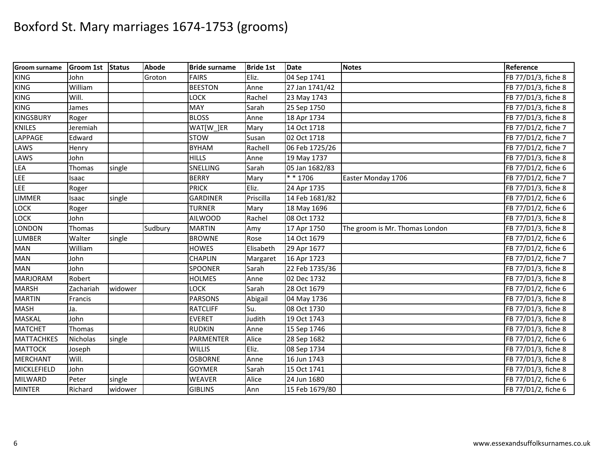| <b>Groom surname</b> | <b>Groom 1st</b> | <b>Status</b> | Abode   | <b>Bride surname</b> | <b>Bride 1st</b> | <b>Date</b>    | <b>Notes</b>                   | Reference           |
|----------------------|------------------|---------------|---------|----------------------|------------------|----------------|--------------------------------|---------------------|
| <b>KING</b>          | John             |               | Groton  | <b>FAIRS</b>         | Eliz.            | 04 Sep 1741    |                                | FB 77/D1/3, fiche 8 |
| <b>KING</b>          | William          |               |         | <b>BEESTON</b>       | Anne             | 27 Jan 1741/42 |                                | FB 77/D1/3, fiche 8 |
| <b>KING</b>          | Will.            |               |         | LOCK                 | Rachel           | 23 May 1743    |                                | FB 77/D1/3, fiche 8 |
| <b>KING</b>          | James            |               |         | MAY                  | Sarah            | 25 Sep 1750    |                                | FB 77/D1/3, fiche 8 |
| <b>KINGSBURY</b>     | Roger            |               |         | <b>BLOSS</b>         | Anne             | 18 Apr 1734    |                                | FB 77/D1/3, fiche 8 |
| <b>KNILES</b>        | Jeremiah         |               |         | WAT[W_]ER            | Mary             | 14 Oct 1718    |                                | FB 77/D1/2, fiche 7 |
| LAPPAGE              | Edward           |               |         | <b>STOW</b>          | Susan            | 02 Oct 1718    |                                | FB 77/D1/2, fiche 7 |
| LAWS                 | Henry            |               |         | <b>BYHAM</b>         | Rachell          | 06 Feb 1725/26 |                                | FB 77/D1/2, fiche 7 |
| LAWS                 | John             |               |         | <b>HILLS</b>         | Anne             | 19 May 1737    |                                | FB 77/D1/3, fiche 8 |
| <b>LEA</b>           | Thomas           | single        |         | SNELLING             | Sarah            | 05 Jan 1682/83 |                                | FB 77/D1/2, fiche 6 |
| LEE                  | Isaac            |               |         | <b>BERRY</b>         | Mary             | * * 1706       | Easter Monday 1706             | FB 77/D1/2, fiche 7 |
| LEE                  | Roger            |               |         | <b>PRICK</b>         | Eliz.            | 24 Apr 1735    |                                | FB 77/D1/3, fiche 8 |
| <b>LIMMER</b>        | Isaac            | single        |         | <b>GARDINER</b>      | Priscilla        | 14 Feb 1681/82 |                                | FB 77/D1/2, fiche 6 |
| LOCK                 | Roger            |               |         | <b>TURNER</b>        | Mary             | 18 May 1696    |                                | FB 77/D1/2, fiche 6 |
| LOCK                 | John             |               |         | <b>AILWOOD</b>       | Rachel           | 08 Oct 1732    |                                | FB 77/D1/3, fiche 8 |
| <b>LONDON</b>        | Thomas           |               | Sudbury | <b>MARTIN</b>        | Amy              | 17 Apr 1750    | The groom is Mr. Thomas London | FB 77/D1/3, fiche 8 |
| <b>LUMBER</b>        | Walter           | single        |         | <b>BROWNE</b>        | Rose             | 14 Oct 1679    |                                | FB 77/D1/2, fiche 6 |
| <b>MAN</b>           | William          |               |         | <b>HOWES</b>         | Elisabeth        | 29 Apr 1677    |                                | FB 77/D1/2, fiche 6 |
| <b>MAN</b>           | John             |               |         | <b>CHAPLIN</b>       | Margaret         | 16 Apr 1723    |                                | FB 77/D1/2, fiche 7 |
| <b>MAN</b>           | John             |               |         | <b>SPOONER</b>       | Sarah            | 22 Feb 1735/36 |                                | FB 77/D1/3, fiche 8 |
| <b>MARJORAM</b>      | Robert           |               |         | <b>HOLMES</b>        | Anne             | 02 Dec 1732    |                                | FB 77/D1/3, fiche 8 |
| <b>MARSH</b>         | Zachariah        | widower       |         | LOCK                 | Sarah            | 28 Oct 1679    |                                | FB 77/D1/2, fiche 6 |
| <b>MARTIN</b>        | Francis          |               |         | <b>PARSONS</b>       | Abigail          | 04 May 1736    |                                | FB 77/D1/3, fiche 8 |
| <b>MASH</b>          | Ja.              |               |         | <b>RATCLIFF</b>      | Su.              | 08 Oct 1730    |                                | FB 77/D1/3, fiche 8 |
| <b>MASKAL</b>        | John             |               |         | <b>EVERET</b>        | Judith           | 19 Oct 1743    |                                | FB 77/D1/3, fiche 8 |
| <b>MATCHET</b>       | Thomas           |               |         | <b>RUDKIN</b>        | Anne             | 15 Sep 1746    |                                | FB 77/D1/3, fiche 8 |
| <b>MATTACHKES</b>    | <b>Nicholas</b>  | single        |         | <b>PARMENTER</b>     | Alice            | 28 Sep 1682    |                                | FB 77/D1/2, fiche 6 |
| <b>MATTOCK</b>       | Joseph           |               |         | <b>WILLIS</b>        | Eliz.            | 08 Sep 1734    |                                | FB 77/D1/3, fiche 8 |
| <b>MERCHANT</b>      | Will.            |               |         | <b>OSBORNE</b>       | Anne             | 16 Jun 1743    |                                | FB 77/D1/3, fiche 8 |
| MICKLEFIELD          | John             |               |         | <b>GOYMER</b>        | Sarah            | 15 Oct 1741    |                                | FB 77/D1/3, fiche 8 |
| <b>MILWARD</b>       | Peter            | single        |         | WEAVER               | Alice            | 24 Jun 1680    |                                | FB 77/D1/2, fiche 6 |
| <b>MINTER</b>        | Richard          | widower       |         | <b>GIBLINS</b>       | Ann              | 15 Feb 1679/80 |                                | FB 77/D1/2, fiche 6 |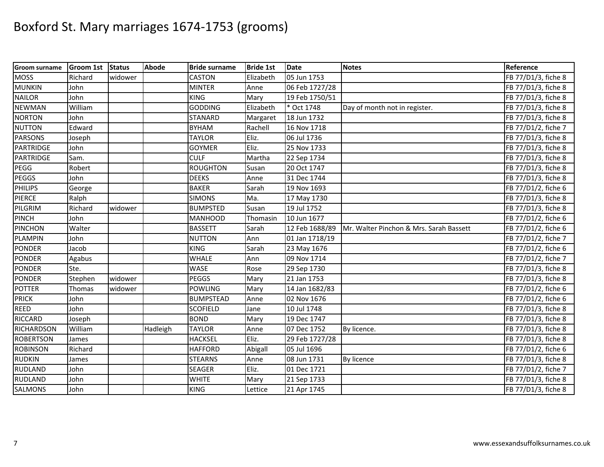| <b>Groom surname</b> | <b>Groom 1st</b> | <b>Status</b> | <b>Abode</b> | <b>Bride surname</b> | <b>Bride 1st</b> | <b>Date</b>    | <b>Notes</b>                            | Reference           |
|----------------------|------------------|---------------|--------------|----------------------|------------------|----------------|-----------------------------------------|---------------------|
| <b>MOSS</b>          | Richard          | widower       |              | <b>CASTON</b>        | Elizabeth        | 05 Jun 1753    |                                         | FB 77/D1/3, fiche 8 |
| <b>MUNKIN</b>        | John             |               |              | <b>MINTER</b>        | Anne             | 06 Feb 1727/28 |                                         | FB 77/D1/3, fiche 8 |
| <b>NAILOR</b>        | John             |               |              | <b>KING</b>          | Mary             | 19 Feb 1750/51 |                                         | FB 77/D1/3, fiche 8 |
| <b>NEWMAN</b>        | William          |               |              | <b>GODDING</b>       | Elizabeth        | * Oct 1748     | Day of month not in register.           | FB 77/D1/3, fiche 8 |
| <b>NORTON</b>        | John             |               |              | <b>STANARD</b>       | Margaret         | 18 Jun 1732    |                                         | FB 77/D1/3, fiche 8 |
| <b>NUTTON</b>        | Edward           |               |              | <b>BYHAM</b>         | Rachell          | 16 Nov 1718    |                                         | FB 77/D1/2, fiche 7 |
| <b>PARSONS</b>       | Joseph           |               |              | <b>TAYLOR</b>        | Eliz.            | 06 Jul 1736    |                                         | FB 77/D1/3, fiche 8 |
| PARTRIDGE            | John             |               |              | <b>GOYMER</b>        | Eliz.            | 25 Nov 1733    |                                         | FB 77/D1/3, fiche 8 |
| <b>PARTRIDGE</b>     | Sam.             |               |              | <b>CULF</b>          | Martha           | 22 Sep 1734    |                                         | FB 77/D1/3, fiche 8 |
| PEGG                 | Robert           |               |              | <b>ROUGHTON</b>      | Susan            | 20 Oct 1747    |                                         | FB 77/D1/3, fiche 8 |
| <b>PEGGS</b>         | John             |               |              | <b>DEEKS</b>         | Anne             | 31 Dec 1744    |                                         | FB 77/D1/3, fiche 8 |
| <b>PHILIPS</b>       | George           |               |              | <b>BAKER</b>         | Sarah            | 19 Nov 1693    |                                         | FB 77/D1/2, fiche 6 |
| <b>PIERCE</b>        | Ralph            |               |              | <b>SIMONS</b>        | Ma.              | 17 May 1730    |                                         | FB 77/D1/3, fiche 8 |
| PILGRIM              | Richard          | widower       |              | <b>BUMPSTED</b>      | Susan            | 19 Jul 1752    |                                         | FB 77/D1/3, fiche 8 |
| PINCH                | John             |               |              | <b>MANHOOD</b>       | Thomasin         | 10 Jun 1677    |                                         | FB 77/D1/2, fiche 6 |
| PINCHON              | Walter           |               |              | <b>BASSETT</b>       | Sarah            | 12 Feb 1688/89 | Mr. Walter Pinchon & Mrs. Sarah Bassett | FB 77/D1/2, fiche 6 |
| <b>PLAMPIN</b>       | John             |               |              | <b>NUTTON</b>        | Ann              | 01 Jan 1718/19 |                                         | FB 77/D1/2, fiche 7 |
| <b>PONDER</b>        | Jacob            |               |              | <b>KING</b>          | Sarah            | 23 May 1676    |                                         | FB 77/D1/2, fiche 6 |
| <b>PONDER</b>        | Agabus           |               |              | <b>WHALE</b>         | Ann              | 09 Nov 1714    |                                         | FB 77/D1/2, fiche 7 |
| <b>PONDER</b>        | Ste.             |               |              | <b>WASE</b>          | Rose             | 29 Sep 1730    |                                         | FB 77/D1/3, fiche 8 |
| <b>PONDER</b>        | Stephen          | widower       |              | <b>PEGGS</b>         | Mary             | 21 Jan 1753    |                                         | FB 77/D1/3, fiche 8 |
| <b>POTTER</b>        | Thomas           | widower       |              | <b>POWLING</b>       | Mary             | 14 Jan 1682/83 |                                         | FB 77/D1/2, fiche 6 |
| <b>PRICK</b>         | John             |               |              | <b>BUMPSTEAD</b>     | Anne             | 02 Nov 1676    |                                         | FB 77/D1/2, fiche 6 |
| <b>REED</b>          | John             |               |              | <b>SCOFIELD</b>      | Jane             | 10 Jul 1748    |                                         | FB 77/D1/3, fiche 8 |
| <b>RICCARD</b>       | Joseph           |               |              | <b>BOND</b>          | Mary             | 19 Dec 1747    |                                         | FB 77/D1/3, fiche 8 |
| RICHARDSON           | William          |               | Hadleigh     | <b>TAYLOR</b>        | Anne             | 07 Dec 1752    | By licence.                             | FB 77/D1/3, fiche 8 |
| <b>ROBERTSON</b>     | James            |               |              | <b>HACKSEL</b>       | Eliz.            | 29 Feb 1727/28 |                                         | FB 77/D1/3, fiche 8 |
| <b>ROBINSON</b>      | Richard          |               |              | <b>HAFFORD</b>       | Abigall          | 05 Jul 1696    |                                         | FB 77/D1/2, fiche 6 |
| <b>RUDKIN</b>        | James            |               |              | <b>STEARNS</b>       | Anne             | 08 Jun 1731    | By licence                              | FB 77/D1/3, fiche 8 |
| <b>RUDLAND</b>       | John             |               |              | SEAGER               | Eliz.            | 01 Dec 1721    |                                         | FB 77/D1/2, fiche 7 |
| <b>RUDLAND</b>       | John             |               |              | <b>WHITE</b>         | Mary             | 21 Sep 1733    |                                         | FB 77/D1/3, fiche 8 |
| SALMONS              | John             |               |              | <b>KING</b>          | Lettice          | 21 Apr 1745    |                                         | FB 77/D1/3, fiche 8 |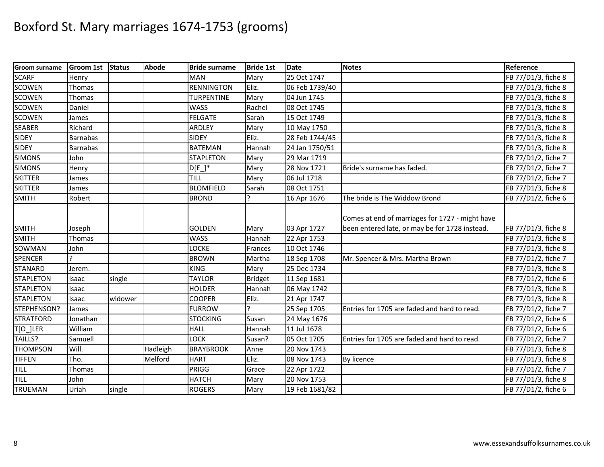| Groom surname    | <b>Groom 1st</b> | <b>Status</b> | <b>Abode</b> | <b>Bride surname</b> | <b>Bride 1st</b> | <b>Date</b>    | <b>Notes</b>                                                                                      | Reference           |
|------------------|------------------|---------------|--------------|----------------------|------------------|----------------|---------------------------------------------------------------------------------------------------|---------------------|
| <b>SCARF</b>     | Henry            |               |              | <b>MAN</b>           | Mary             | 25 Oct 1747    |                                                                                                   | FB 77/D1/3, fiche 8 |
| <b>SCOWEN</b>    | Thomas           |               |              | <b>RENNINGTON</b>    | Eliz.            | 06 Feb 1739/40 |                                                                                                   | FB 77/D1/3, fiche 8 |
| <b>SCOWEN</b>    | Thomas           |               |              | <b>TURPENTINE</b>    | Mary             | 04 Jun 1745    |                                                                                                   | FB 77/D1/3, fiche 8 |
| <b>SCOWEN</b>    | Daniel           |               |              | <b>WASS</b>          | Rachel           | 08 Oct 1745    |                                                                                                   | FB 77/D1/3, fiche 8 |
| <b>SCOWEN</b>    | James            |               |              | <b>FELGATE</b>       | Sarah            | 15 Oct 1749    |                                                                                                   | FB 77/D1/3, fiche 8 |
| <b>SEABER</b>    | Richard          |               |              | <b>ARDLEY</b>        | Mary             | 10 May 1750    |                                                                                                   | FB 77/D1/3, fiche 8 |
| <b>SIDEY</b>     | <b>Barnabas</b>  |               |              | <b>SIDEY</b>         | Eliz.            | 28 Feb 1744/45 |                                                                                                   | FB 77/D1/3, fiche 8 |
| <b>SIDEY</b>     | <b>Barnabas</b>  |               |              | <b>BATEMAN</b>       | Hannah           | 24 Jan 1750/51 |                                                                                                   | FB 77/D1/3, fiche 8 |
| <b>SIMONS</b>    | John             |               |              | <b>STAPLETON</b>     | Mary             | 29 Mar 1719    |                                                                                                   | FB 77/D1/2, fiche 7 |
| <b>SIMONS</b>    | Henry            |               |              | D[E]                 | Mary             | 28 Nov 1721    | Bride's surname has faded.                                                                        | FB 77/D1/2, fiche 7 |
| <b>SKITTER</b>   | James            |               |              | <b>TILL</b>          | Mary             | 06 Jul 1718    |                                                                                                   | FB 77/D1/2, fiche 7 |
| <b>SKITTER</b>   | James            |               |              | <b>BLOMFIELD</b>     | Sarah            | 08 Oct 1751    |                                                                                                   | FB 77/D1/3, fiche 8 |
| <b>SMITH</b>     | Robert           |               |              | <b>BROND</b>         |                  | 16 Apr 1676    | The bride is The Widdow Brond                                                                     | FB 77/D1/2, fiche 6 |
| <b>SMITH</b>     | Joseph           |               |              | <b>GOLDEN</b>        | Mary             | 03 Apr 1727    | Comes at end of marriages for 1727 - might have<br>been entered late, or may be for 1728 instead. | FB 77/D1/3, fiche 8 |
| <b>SMITH</b>     | Thomas           |               |              | WASS                 | Hannah           | 22 Apr 1753    |                                                                                                   | FB 77/D1/3, fiche 8 |
| SOWMAN           | John             |               |              | LOCKE                | Frances          | 10 Oct 1746    |                                                                                                   | FB 77/D1/3, fiche 8 |
| SPENCER          |                  |               |              | <b>BROWN</b>         | Martha           | 18 Sep 1708    | Mr. Spencer & Mrs. Martha Brown                                                                   | FB 77/D1/2, fiche 7 |
| <b>STANARD</b>   | Jerem.           |               |              | <b>KING</b>          | Mary             | 25 Dec 1734    |                                                                                                   | FB 77/D1/3, fiche 8 |
| <b>STAPLETON</b> | Isaac            | single        |              | <b>TAYLOR</b>        | <b>Bridget</b>   | 11 Sep 1681    |                                                                                                   | FB 77/D1/2, fiche 6 |
| <b>STAPLETON</b> | Isaac            |               |              | <b>HOLDER</b>        | Hannah           | 06 May 1742    |                                                                                                   | FB 77/D1/3, fiche 8 |
| <b>STAPLETON</b> | Isaac            | widower       |              | <b>COOPER</b>        | Eliz.            | 21 Apr 1747    |                                                                                                   | FB 77/D1/3, fiche 8 |
| STEPHENSON?      | James            |               |              | <b>FURROW</b>        |                  | 25 Sep 1705    | Entries for 1705 are faded and hard to read.                                                      | FB 77/D1/2, fiche 7 |
| <b>STRATFORD</b> | Jonathan         |               |              | <b>STOCKING</b>      | Susan            | 24 May 1676    |                                                                                                   | FB 77/D1/2, fiche 6 |
| T[O ]LER         | William          |               |              | <b>HALL</b>          | Hannah           | 11 Jul 1678    |                                                                                                   | FB 77/D1/2, fiche 6 |
| TAILLS?          | Samuell          |               |              | LOCK                 | Susan?           | 05 Oct 1705    | Entries for 1705 are faded and hard to read.                                                      | FB 77/D1/2, fiche 7 |
| <b>THOMPSON</b>  | Will.            |               | Hadleigh     | <b>BRAYBROOK</b>     | Anne             | 20 Nov 1743    |                                                                                                   | FB 77/D1/3, fiche 8 |
| <b>TIFFEN</b>    | Tho.             |               | Melford      | <b>HART</b>          | Eliz.            | 08 Nov 1743    | By licence                                                                                        | FB 77/D1/3, fiche 8 |
| <b>TILL</b>      | Thomas           |               |              | PRIGG                | Grace            | 22 Apr 1722    |                                                                                                   | FB 77/D1/2, fiche 7 |
| TILL             | John             |               |              | <b>HATCH</b>         | Mary             | 20 Nov 1753    |                                                                                                   | FB 77/D1/3, fiche 8 |
| <b>TRUEMAN</b>   | Uriah            | single        |              | <b>ROGERS</b>        | Mary             | 19 Feb 1681/82 |                                                                                                   | FB 77/D1/2, fiche 6 |